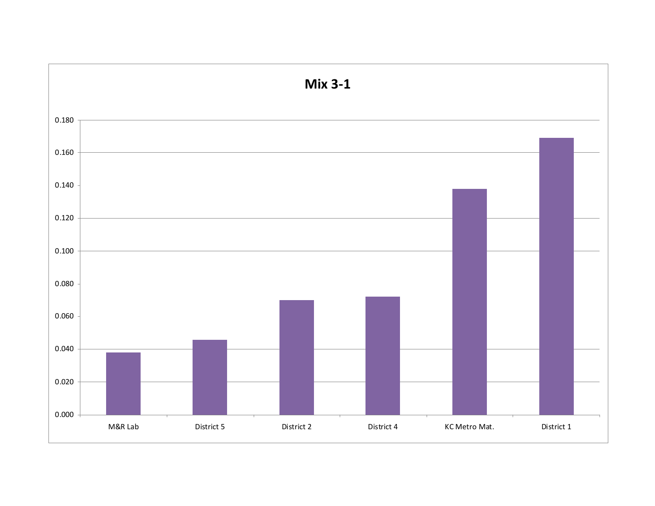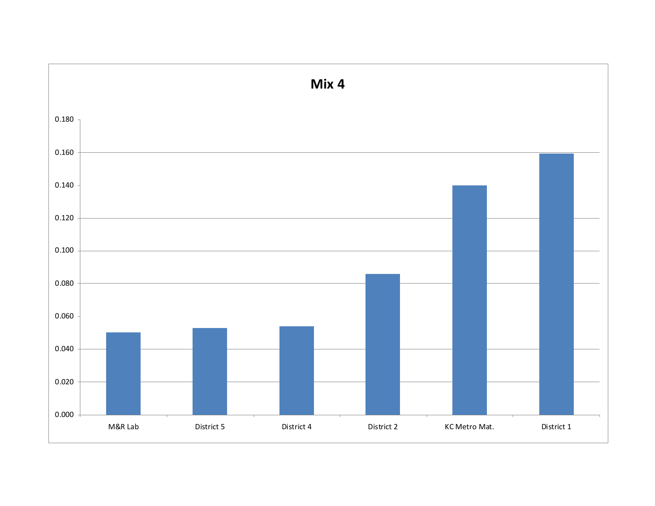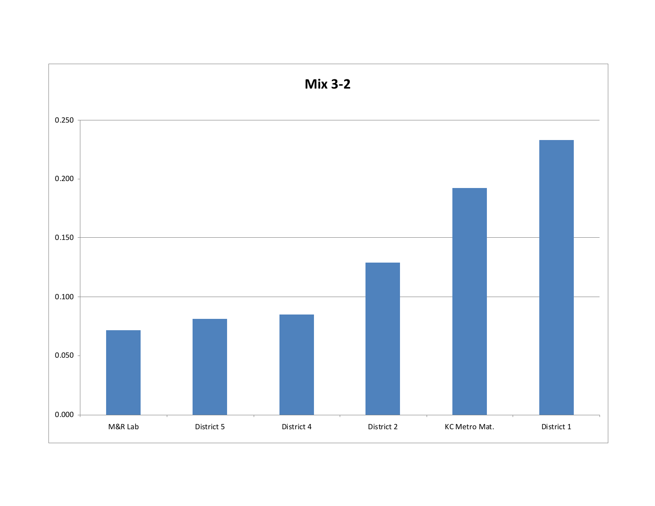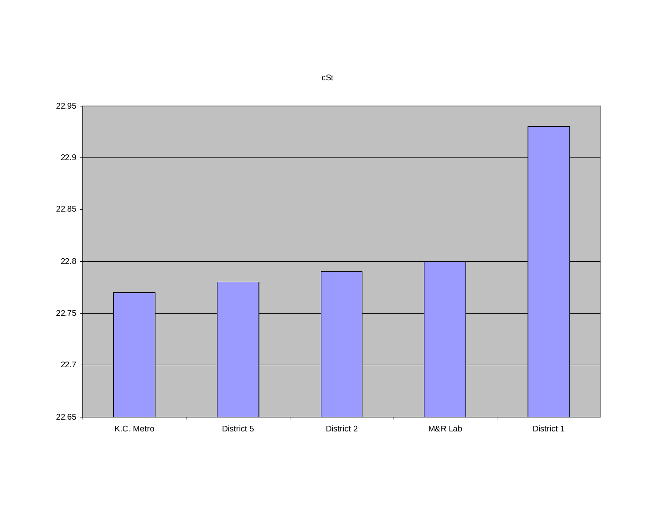22.65 22.7 22.75 22.8 22.85 22.9 22.95 K.C. MetroDistrict 5 District 2 M&R Lab District 1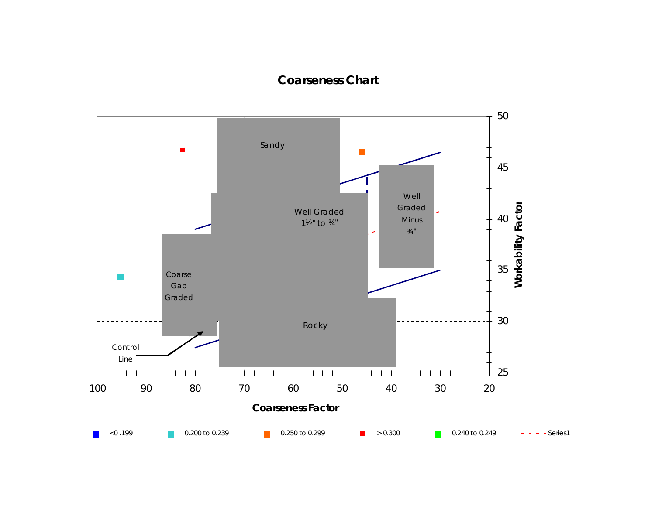## **Coarseness Chart**

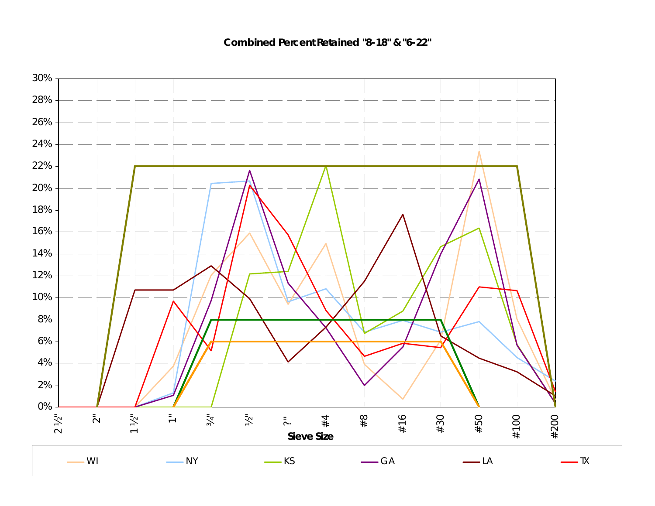**Combined Percent Retained "8-18" & "6-22"**